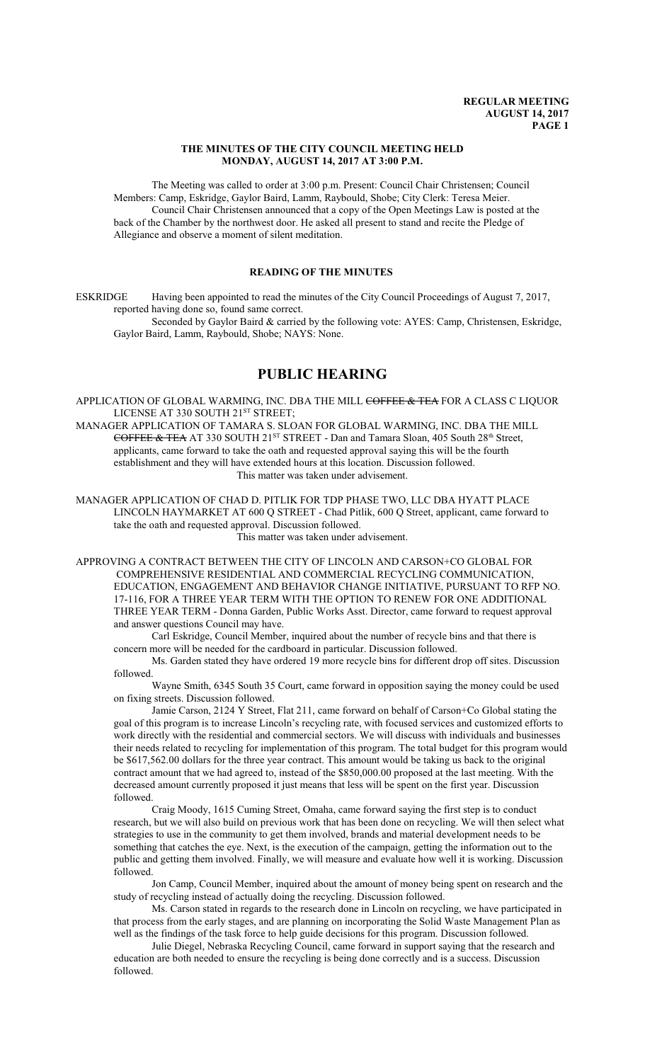#### **THE MINUTES OF THE CITY COUNCIL MEETING HELD MONDAY, AUGUST 14, 2017 AT 3:00 P.M.**

The Meeting was called to order at 3:00 p.m. Present: Council Chair Christensen; Council Members: Camp, Eskridge, Gaylor Baird, Lamm, Raybould, Shobe; City Clerk: Teresa Meier. Council Chair Christensen announced that a copy of the Open Meetings Law is posted at the back of the Chamber by the northwest door. He asked all present to stand and recite the Pledge of Allegiance and observe a moment of silent meditation.

# **READING OF THE MINUTES**

ESKRIDGE Having been appointed to read the minutes of the City Council Proceedings of August 7, 2017, reported having done so, found same correct.

Seconded by Gaylor Baird & carried by the following vote: AYES: Camp, Christensen, Eskridge, Gaylor Baird, Lamm, Raybould, Shobe; NAYS: None.

# **PUBLIC HEARING**

APPLICATION OF GLOBAL WARMING, INC. DBA THE MILL COFFEE & TEA FOR A CLASS C LIQUOR LICENSE AT 330 SOUTH 21<sup>st</sup> STREET;

MANAGER APPLICATION OF TAMARA S. SLOAN FOR GLOBAL WARMING, INC. DBA THE MILL COFFEE & TEA AT 330 SOUTH 21<sup>st</sup> STREET - Dan and Tamara Sloan, 405 South 28<sup>th</sup> Street, applicants, came forward to take the oath and requested approval saying this will be the fourth establishment and they will have extended hours at this location. Discussion followed. This matter was taken under advisement.

MANAGER APPLICATION OF CHAD D. PITLIK FOR TDP PHASE TWO, LLC DBA HYATT PLACE LINCOLN HAYMARKET AT 600 Q STREET - Chad Pitlik, 600 Q Street, applicant, came forward to take the oath and requested approval. Discussion followed. This matter was taken under advisement.

APPROVING A CONTRACT BETWEEN THE CITY OF LINCOLN AND CARSON+CO GLOBAL FOR COMPREHENSIVE RESIDENTIAL AND COMMERCIAL RECYCLING COMMUNICATION, EDUCATION, ENGAGEMENT AND BEHAVIOR CHANGE INITIATIVE, PURSUANT TO RFP NO. 17-116, FOR A THREE YEAR TERM WITH THE OPTION TO RENEW FOR ONE ADDITIONAL THREE YEAR TERM - Donna Garden, Public Works Asst. Director, came forward to request approval and answer questions Council may have.

Carl Eskridge, Council Member, inquired about the number of recycle bins and that there is concern more will be needed for the cardboard in particular. Discussion followed.

Ms. Garden stated they have ordered 19 more recycle bins for different drop off sites. Discussion followed.

Wayne Smith, 6345 South 35 Court, came forward in opposition saying the money could be used on fixing streets. Discussion followed.

Jamie Carson, 2124 Y Street, Flat 211, came forward on behalf of Carson+Co Global stating the goal of this program is to increase Lincoln's recycling rate, with focused services and customized efforts to work directly with the residential and commercial sectors. We will discuss with individuals and businesses their needs related to recycling for implementation of this program. The total budget for this program would be \$617,562.00 dollars for the three year contract. This amount would be taking us back to the original contract amount that we had agreed to, instead of the \$850,000.00 proposed at the last meeting. With the decreased amount currently proposed it just means that less will be spent on the first year. Discussion followed.

Craig Moody, 1615 Cuming Street, Omaha, came forward saying the first step is to conduct research, but we will also build on previous work that has been done on recycling. We will then select what strategies to use in the community to get them involved, brands and material development needs to be something that catches the eye. Next, is the execution of the campaign, getting the information out to the public and getting them involved. Finally, we will measure and evaluate how well it is working. Discussion followed.

Jon Camp, Council Member, inquired about the amount of money being spent on research and the study of recycling instead of actually doing the recycling. Discussion followed.

Ms. Carson stated in regards to the research done in Lincoln on recycling, we have participated in that process from the early stages, and are planning on incorporating the Solid Waste Management Plan as well as the findings of the task force to help guide decisions for this program. Discussion followed.

Julie Diegel, Nebraska Recycling Council, came forward in support saying that the research and education are both needed to ensure the recycling is being done correctly and is a success. Discussion followed.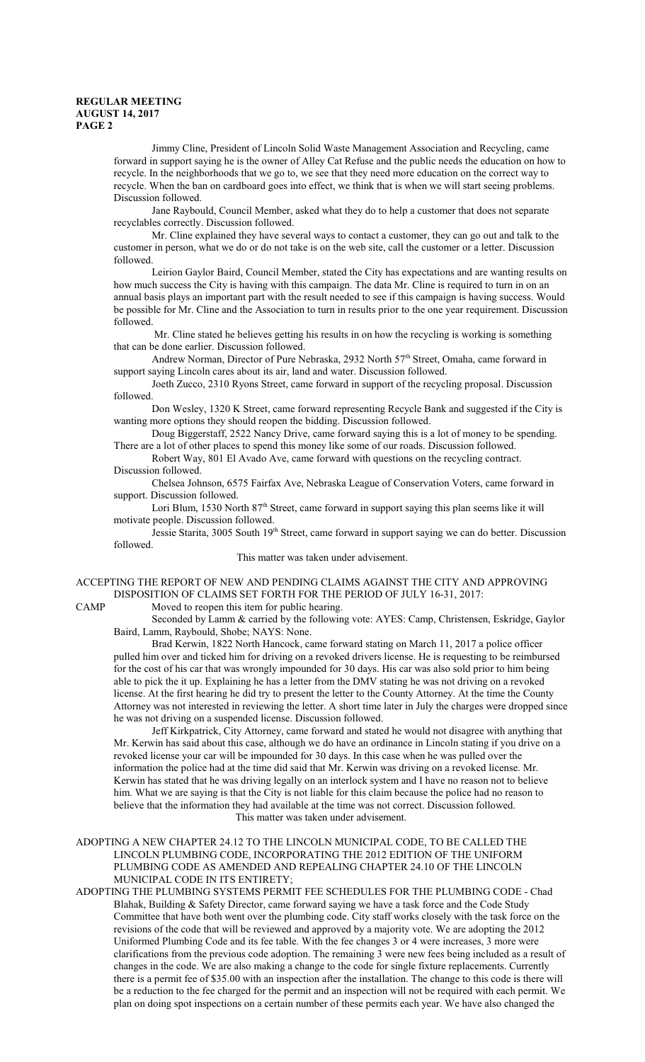Jimmy Cline, President of Lincoln Solid Waste Management Association and Recycling, came forward in support saying he is the owner of Alley Cat Refuse and the public needs the education on how to recycle. In the neighborhoods that we go to, we see that they need more education on the correct way to recycle. When the ban on cardboard goes into effect, we think that is when we will start seeing problems. Discussion followed.

Jane Raybould, Council Member, asked what they do to help a customer that does not separate recyclables correctly. Discussion followed.

Mr. Cline explained they have several ways to contact a customer, they can go out and talk to the customer in person, what we do or do not take is on the web site, call the customer or a letter. Discussion followed.

Leirion Gaylor Baird, Council Member, stated the City has expectations and are wanting results on how much success the City is having with this campaign. The data Mr. Cline is required to turn in on an annual basis plays an important part with the result needed to see if this campaign is having success. Would be possible for Mr. Cline and the Association to turn in results prior to the one year requirement. Discussion followed.

 Mr. Cline stated he believes getting his results in on how the recycling is working is something that can be done earlier. Discussion followed.

Andrew Norman, Director of Pure Nebraska, 2932 North 57<sup>th</sup> Street, Omaha, came forward in support saying Lincoln cares about its air, land and water. Discussion followed.

Joeth Zucco, 2310 Ryons Street, came forward in support of the recycling proposal. Discussion followed.

Don Wesley, 1320 K Street, came forward representing Recycle Bank and suggested if the City is wanting more options they should reopen the bidding. Discussion followed.

Doug Biggerstaff, 2522 Nancy Drive, came forward saying this is a lot of money to be spending. There are a lot of other places to spend this money like some of our roads. Discussion followed.

Robert Way, 801 El Avado Ave, came forward with questions on the recycling contract. Discussion followed.

Chelsea Johnson, 6575 Fairfax Ave, Nebraska League of Conservation Voters, came forward in support. Discussion followed.

Lori Blum, 1530 North 87<sup>th</sup> Street, came forward in support saying this plan seems like it will motivate people. Discussion followed.

Jessie Starita, 3005 South 19<sup>th</sup> Street, came forward in support saying we can do better. Discussion followed.

This matter was taken under advisement.

# ACCEPTING THE REPORT OF NEW AND PENDING CLAIMS AGAINST THE CITY AND APPROVING DISPOSITION OF CLAIMS SET FORTH FOR THE PERIOD OF JULY 16-31, 2017:

CAMP Moved to reopen this item for public hearing.

Seconded by Lamm & carried by the following vote: AYES: Camp, Christensen, Eskridge, Gaylor Baird, Lamm, Raybould, Shobe; NAYS: None.

Brad Kerwin, 1822 North Hancock, came forward stating on March 11, 2017 a police officer pulled him over and ticked him for driving on a revoked drivers license. He is requesting to be reimbursed for the cost of his car that was wrongly impounded for 30 days. His car was also sold prior to him being able to pick the it up. Explaining he has a letter from the DMV stating he was not driving on a revoked license. At the first hearing he did try to present the letter to the County Attorney. At the time the County Attorney was not interested in reviewing the letter. A short time later in July the charges were dropped since he was not driving on a suspended license. Discussion followed.

Jeff Kirkpatrick, City Attorney, came forward and stated he would not disagree with anything that Mr. Kerwin has said about this case, although we do have an ordinance in Lincoln stating if you drive on a revoked license your car will be impounded for 30 days. In this case when he was pulled over the information the police had at the time did said that Mr. Kerwin was driving on a revoked license. Mr. Kerwin has stated that he was driving legally on an interlock system and I have no reason not to believe him. What we are saying is that the City is not liable for this claim because the police had no reason to believe that the information they had available at the time was not correct. Discussion followed. This matter was taken under advisement.

ADOPTING A NEW CHAPTER 24.12 TO THE LINCOLN MUNICIPAL CODE, TO BE CALLED THE LINCOLN PLUMBING CODE, INCORPORATING THE 2012 EDITION OF THE UNIFORM PLUMBING CODE AS AMENDED AND REPEALING CHAPTER 24.10 OF THE LINCOLN MUNICIPAL CODE IN ITS ENTIRETY;

ADOPTING THE PLUMBING SYSTEMS PERMIT FEE SCHEDULES FOR THE PLUMBING CODE - Chad Blahak, Building & Safety Director, came forward saying we have a task force and the Code Study Committee that have both went over the plumbing code. City staff works closely with the task force on the revisions of the code that will be reviewed and approved by a majority vote. We are adopting the 2012 Uniformed Plumbing Code and its fee table. With the fee changes 3 or 4 were increases, 3 more were clarifications from the previous code adoption. The remaining 3 were new fees being included as a result of changes in the code. We are also making a change to the code for single fixture replacements. Currently there is a permit fee of \$35.00 with an inspection after the installation. The change to this code is there will be a reduction to the fee charged for the permit and an inspection will not be required with each permit. We plan on doing spot inspections on a certain number of these permits each year. We have also changed the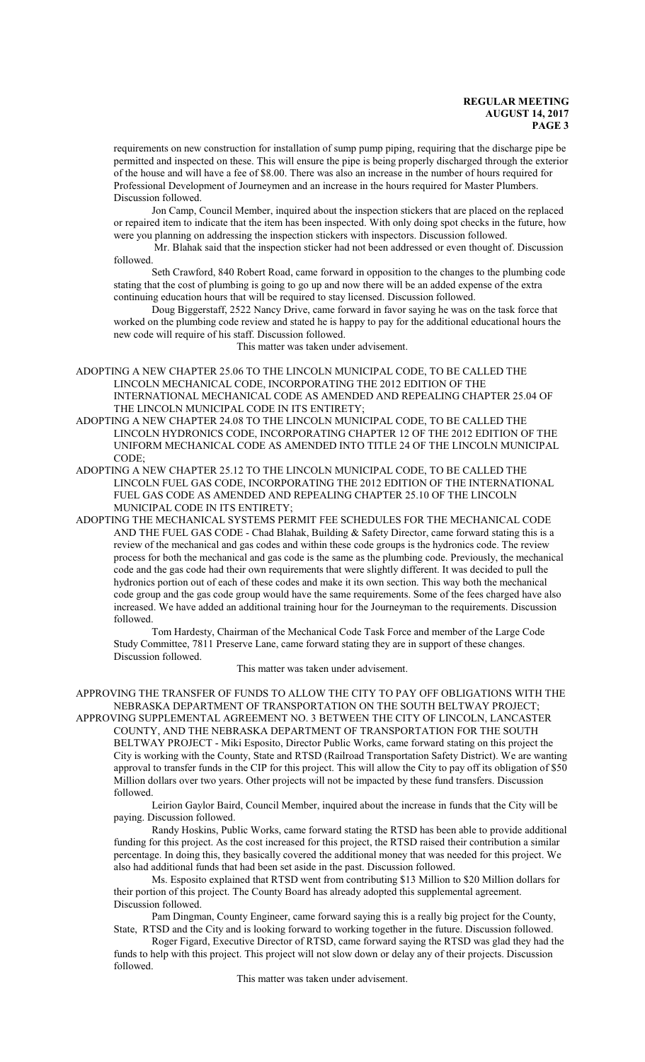requirements on new construction for installation of sump pump piping, requiring that the discharge pipe be permitted and inspected on these. This will ensure the pipe is being properly discharged through the exterior of the house and will have a fee of \$8.00. There was also an increase in the number of hours required for Professional Development of Journeymen and an increase in the hours required for Master Plumbers. Discussion followed.

Jon Camp, Council Member, inquired about the inspection stickers that are placed on the replaced or repaired item to indicate that the item has been inspected. With only doing spot checks in the future, how were you planning on addressing the inspection stickers with inspectors. Discussion followed.

 Mr. Blahak said that the inspection sticker had not been addressed or even thought of. Discussion followed.

Seth Crawford, 840 Robert Road, came forward in opposition to the changes to the plumbing code stating that the cost of plumbing is going to go up and now there will be an added expense of the extra continuing education hours that will be required to stay licensed. Discussion followed.

Doug Biggerstaff, 2522 Nancy Drive, came forward in favor saying he was on the task force that worked on the plumbing code review and stated he is happy to pay for the additional educational hours the new code will require of his staff. Discussion followed.

This matter was taken under advisement.

- ADOPTING A NEW CHAPTER 25.06 TO THE LINCOLN MUNICIPAL CODE, TO BE CALLED THE LINCOLN MECHANICAL CODE, INCORPORATING THE 2012 EDITION OF THE INTERNATIONAL MECHANICAL CODE AS AMENDED AND REPEALING CHAPTER 25.04 OF THE LINCOLN MUNICIPAL CODE IN ITS ENTIRETY;
- ADOPTING A NEW CHAPTER 24.08 TO THE LINCOLN MUNICIPAL CODE, TO BE CALLED THE LINCOLN HYDRONICS CODE, INCORPORATING CHAPTER 12 OF THE 2012 EDITION OF THE UNIFORM MECHANICAL CODE AS AMENDED INTO TITLE 24 OF THE LINCOLN MUNICIPAL CODE;
- ADOPTING A NEW CHAPTER 25.12 TO THE LINCOLN MUNICIPAL CODE, TO BE CALLED THE LINCOLN FUEL GAS CODE, INCORPORATING THE 2012 EDITION OF THE INTERNATIONAL FUEL GAS CODE AS AMENDED AND REPEALING CHAPTER 25.10 OF THE LINCOLN MUNICIPAL CODE IN ITS ENTIRETY;
- ADOPTING THE MECHANICAL SYSTEMS PERMIT FEE SCHEDULES FOR THE MECHANICAL CODE AND THE FUEL GAS CODE - Chad Blahak, Building & Safety Director, came forward stating this is a review of the mechanical and gas codes and within these code groups is the hydronics code. The review process for both the mechanical and gas code is the same as the plumbing code. Previously, the mechanical code and the gas code had their own requirements that were slightly different. It was decided to pull the hydronics portion out of each of these codes and make it its own section. This way both the mechanical code group and the gas code group would have the same requirements. Some of the fees charged have also increased. We have added an additional training hour for the Journeyman to the requirements. Discussion followed.

Tom Hardesty, Chairman of the Mechanical Code Task Force and member of the Large Code Study Committee, 7811 Preserve Lane, came forward stating they are in support of these changes. Discussion followed.

This matter was taken under advisement.

APPROVING THE TRANSFER OF FUNDS TO ALLOW THE CITY TO PAY OFF OBLIGATIONS WITH THE NEBRASKA DEPARTMENT OF TRANSPORTATION ON THE SOUTH BELTWAY PROJECT; APPROVING SUPPLEMENTAL AGREEMENT NO. 3 BETWEEN THE CITY OF LINCOLN, LANCASTER

COUNTY, AND THE NEBRASKA DEPARTMENT OF TRANSPORTATION FOR THE SOUTH BELTWAY PROJECT - Miki Esposito, Director Public Works, came forward stating on this project the City is working with the County, State and RTSD (Railroad Transportation Safety District). We are wanting approval to transfer funds in the CIP for this project. This will allow the City to pay off its obligation of \$50 Million dollars over two years. Other projects will not be impacted by these fund transfers. Discussion followed.

Leirion Gaylor Baird, Council Member, inquired about the increase in funds that the City will be paying. Discussion followed.

Randy Hoskins, Public Works, came forward stating the RTSD has been able to provide additional funding for this project. As the cost increased for this project, the RTSD raised their contribution a similar percentage. In doing this, they basically covered the additional money that was needed for this project. We also had additional funds that had been set aside in the past. Discussion followed.

Ms. Esposito explained that RTSD went from contributing \$13 Million to \$20 Million dollars for their portion of this project. The County Board has already adopted this supplemental agreement. Discussion followed.

Pam Dingman, County Engineer, came forward saying this is a really big project for the County, State, RTSD and the City and is looking forward to working together in the future. Discussion followed.

Roger Figard, Executive Director of RTSD, came forward saying the RTSD was glad they had the funds to help with this project. This project will not slow down or delay any of their projects. Discussion followed.

This matter was taken under advisement.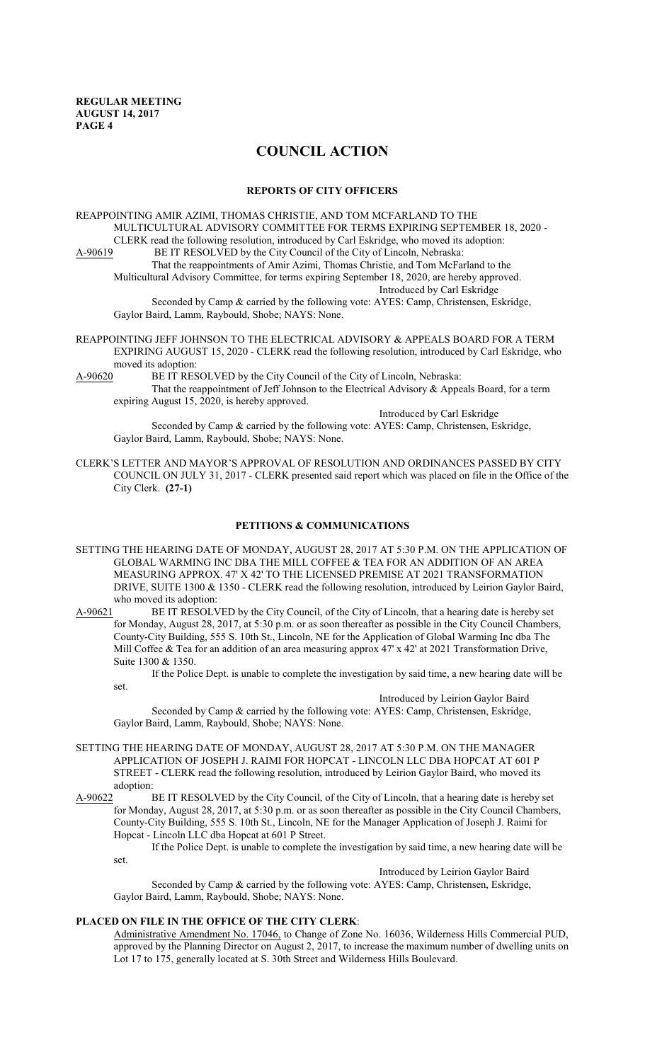# **COUNCIL ACTION**

#### **REPORTS OF CITY OFFICERS**

REAPPOINTING AMIR AZIMI, THOMAS CHRISTIE, AND TOM MCFARLAND TO THE MULTICULTURAL ADVISORY COMMITTEE FOR TERMS EXPIRING SEPTEMBER 18, 2020 - CLERK read the following resolution, introduced by Carl Eskridge, who moved its adoption:<br>A-90619 BE IT RESOLVED by the City Council of the City of Lincoln, Nebraska: BE IT RESOLVED by the City Council of the City of Lincoln, Nebraska: That the reappointments of Amir Azimi, Thomas Christie, and Tom McFarland to the

Multicultural Advisory Committee, for terms expiring September 18, 2020, are hereby approved. Introduced by Carl Eskridge

Seconded by Camp & carried by the following vote: AYES: Camp, Christensen, Eskridge,

Gaylor Baird, Lamm, Raybould, Shobe; NAYS: None.

REAPPOINTING JEFF JOHNSON TO THE ELECTRICAL ADVISORY & APPEALS BOARD FOR A TERM EXPIRING AUGUST 15, 2020 - CLERK read the following resolution, introduced by Carl Eskridge, who moved its adoption:

A-90620 BE IT RESOLVED by the City Council of the City of Lincoln, Nebraska: That the reappointment of Jeff Johnson to the Electrical Advisory & Appeals Board, for a term expiring August 15, 2020, is hereby approved.

Introduced by Carl Eskridge

Seconded by Camp & carried by the following vote: AYES: Camp, Christensen, Eskridge, Gaylor Baird, Lamm, Raybould, Shobe; NAYS: None.

CLERK'S LETTER AND MAYOR'S APPROVAL OF RESOLUTION AND ORDINANCES PASSED BY CITY COUNCIL ON JULY 31, 2017 - CLERK presented said report which was placed on file in the Office of the City Clerk. **(27-1)**

# **PETITIONS & COMMUNICATIONS**

SETTING THE HEARING DATE OF MONDAY, AUGUST 28, 2017 AT 5:30 P.M. ON THE APPLICATION OF GLOBAL WARMING INC DBA THE MILL COFFEE & TEA FOR AN ADDITION OF AN AREA MEASURING APPROX. 47' X 42' TO THE LICENSED PREMISE AT 2021 TRANSFORMATION DRIVE, SUITE 1300 & 1350 - CLERK read the following resolution, introduced by Leirion Gaylor Baird, who moved its adoption:

A-90621 BE IT RESOLVED by the City Council, of the City of Lincoln, that a hearing date is hereby set for Monday, August 28, 2017, at 5:30 p.m. or as soon thereafter as possible in the City Council Chambers, County-City Building, 555 S. 10th St., Lincoln, NE for the Application of Global Warming Inc dba The Mill Coffee & Tea for an addition of an area measuring approx 47' x 42' at 2021 Transformation Drive, Suite 1300 & 1350.

If the Police Dept. is unable to complete the investigation by said time, a new hearing date will be set.

Introduced by Leirion Gaylor Baird

Seconded by Camp & carried by the following vote: AYES: Camp, Christensen, Eskridge, Gaylor Baird, Lamm, Raybould, Shobe; NAYS: None.

- SETTING THE HEARING DATE OF MONDAY, AUGUST 28, 2017 AT 5:30 P.M. ON THE MANAGER APPLICATION OF JOSEPH J. RAIMI FOR HOPCAT - LINCOLN LLC DBA HOPCAT AT 601 P STREET - CLERK read the following resolution, introduced by Leirion Gaylor Baird, who moved its adoption:
- A-90622 BE IT RESOLVED by the City Council, of the City of Lincoln, that a hearing date is hereby set for Monday, August 28, 2017, at 5:30 p.m. or as soon thereafter as possible in the City Council Chambers, County-City Building, 555 S. 10th St., Lincoln, NE for the Manager Application of Joseph J. Raimi for Hopcat - Lincoln LLC dba Hopcat at 601 P Street.

If the Police Dept. is unable to complete the investigation by said time, a new hearing date will be set.

Introduced by Leirion Gaylor Baird

Seconded by Camp & carried by the following vote: AYES: Camp, Christensen, Eskridge, Gaylor Baird, Lamm, Raybould, Shobe; NAYS: None.

# **PLACED ON FILE IN THE OFFICE OF THE CITY CLERK**:

Administrative Amendment No. 17046, to Change of Zone No. 16036, Wilderness Hills Commercial PUD, approved by the Planning Director on August 2, 2017, to increase the maximum number of dwelling units on Lot 17 to 175, generally located at S. 30th Street and Wilderness Hills Boulevard.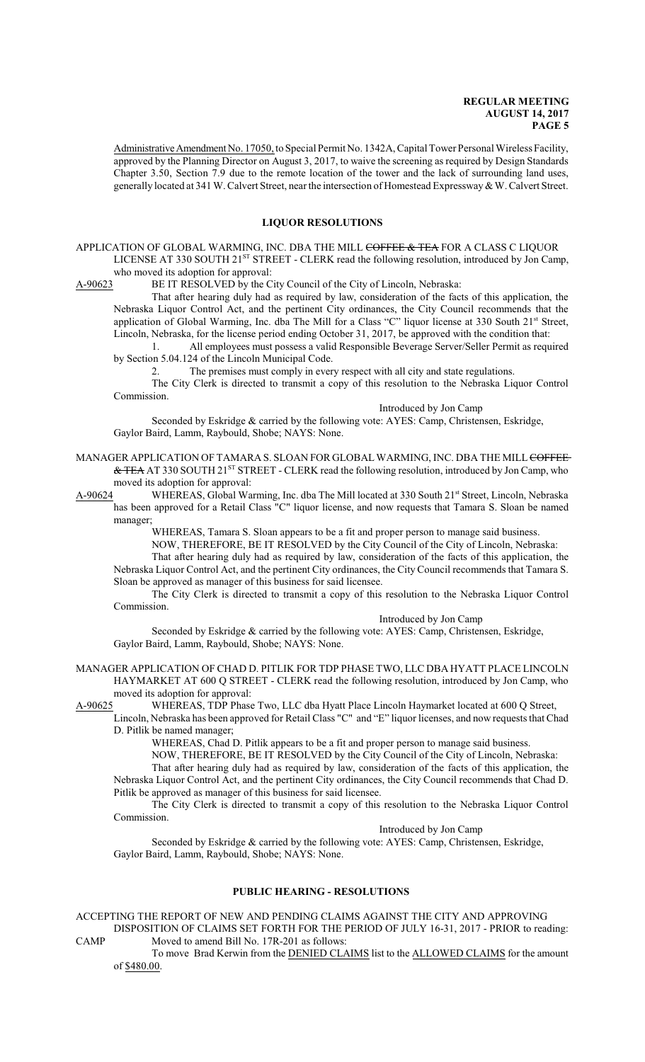Administrative Amendment No. 17050, to Special Permit No. 1342A, Capital Tower Personal Wireless Facility, approved by the Planning Director on August 3, 2017, to waive the screening as required by Design Standards Chapter 3.50, Section 7.9 due to the remote location of the tower and the lack of surrounding land uses, generally located at 341 W. Calvert Street, near the intersection of Homestead Expressway & W. Calvert Street.

#### **LIQUOR RESOLUTIONS**

APPLICATION OF GLOBAL WARMING, INC. DBA THE MILL COFFEE & TEA FOR A CLASS C LIQUOR LICENSE AT 330 SOUTH 21ST STREET - CLERK read the following resolution, introduced by Jon Camp, who moved its adoption for approval:<br>A-90623 BE IT RESOLVED by the C

BE IT RESOLVED by the City Council of the City of Lincoln, Nebraska:

That after hearing duly had as required by law, consideration of the facts of this application, the Nebraska Liquor Control Act, and the pertinent City ordinances, the City Council recommends that the application of Global Warming, Inc. dba The Mill for a Class "C" liquor license at 330 South 21st Street, Lincoln, Nebraska, for the license period ending October 31, 2017, be approved with the condition that:

1. All employees must possess a valid Responsible Beverage Server/Seller Permit as required by Section 5.04.124 of the Lincoln Municipal Code.

2. The premises must comply in every respect with all city and state regulations.

The City Clerk is directed to transmit a copy of this resolution to the Nebraska Liquor Control Commission.

Introduced by Jon Camp

Seconded by Eskridge & carried by the following vote: AYES: Camp, Christensen, Eskridge, Gaylor Baird, Lamm, Raybould, Shobe; NAYS: None.

- MANAGER APPLICATION OF TAMARA S. SLOAN FOR GLOBAL WARMING, INC. DBA THE MILL COFFEE-& TEA AT 330 SOUTH 21<sup>ST</sup> STREET - CLERK read the following resolution, introduced by Jon Camp, who moved its adoption for approval:
- A-90624 WHEREAS, Global Warming, Inc. dba The Mill located at 330 South 21<sup>st</sup> Street, Lincoln, Nebraska has been approved for a Retail Class "C" liquor license, and now requests that Tamara S. Sloan be named manager;

WHEREAS, Tamara S. Sloan appears to be a fit and proper person to manage said business.

NOW, THEREFORE, BE IT RESOLVED by the City Council of the City of Lincoln, Nebraska: That after hearing duly had as required by law, consideration of the facts of this application, the Nebraska Liquor Control Act, and the pertinent City ordinances, the City Council recommends that Tamara S.

Sloan be approved as manager of this business for said licensee. The City Clerk is directed to transmit a copy of this resolution to the Nebraska Liquor Control

Commission. Introduced by Jon Camp

Seconded by Eskridge & carried by the following vote: AYES: Camp, Christensen, Eskridge, Gaylor Baird, Lamm, Raybould, Shobe; NAYS: None.

MANAGER APPLICATION OF CHAD D. PITLIK FOR TDP PHASE TWO, LLC DBA HYATT PLACE LINCOLN HAYMARKET AT 600 Q STREET - CLERK read the following resolution, introduced by Jon Camp, who moved its adoption for approval:

A-90625 WHEREAS, TDP Phase Two, LLC dba Hyatt Place Lincoln Haymarket located at 600 Q Street, Lincoln, Nebraska has been approved for Retail Class "C" and "E" liquor licenses, and now requests that Chad

D. Pitlik be named manager;

WHEREAS, Chad D. Pitlik appears to be a fit and proper person to manage said business.

NOW, THEREFORE, BE IT RESOLVED by the City Council of the City of Lincoln, Nebraska:

That after hearing duly had as required by law, consideration of the facts of this application, the Nebraska Liquor Control Act, and the pertinent City ordinances, the City Council recommends that Chad D. Pitlik be approved as manager of this business for said licensee.

The City Clerk is directed to transmit a copy of this resolution to the Nebraska Liquor Control Commission.

Introduced by Jon Camp

Seconded by Eskridge & carried by the following vote: AYES: Camp, Christensen, Eskridge, Gaylor Baird, Lamm, Raybould, Shobe; NAYS: None.

#### **PUBLIC HEARING - RESOLUTIONS**

ACCEPTING THE REPORT OF NEW AND PENDING CLAIMS AGAINST THE CITY AND APPROVING DISPOSITION OF CLAIMS SET FORTH FOR THE PERIOD OF JULY 16-31, 2017 - PRIOR to reading: CAMP Moved to amend Bill No. 17R-201 as follows:

To move Brad Kerwin from the DENIED CLAIMS list to the ALLOWED CLAIMS for the amount of \$480.00.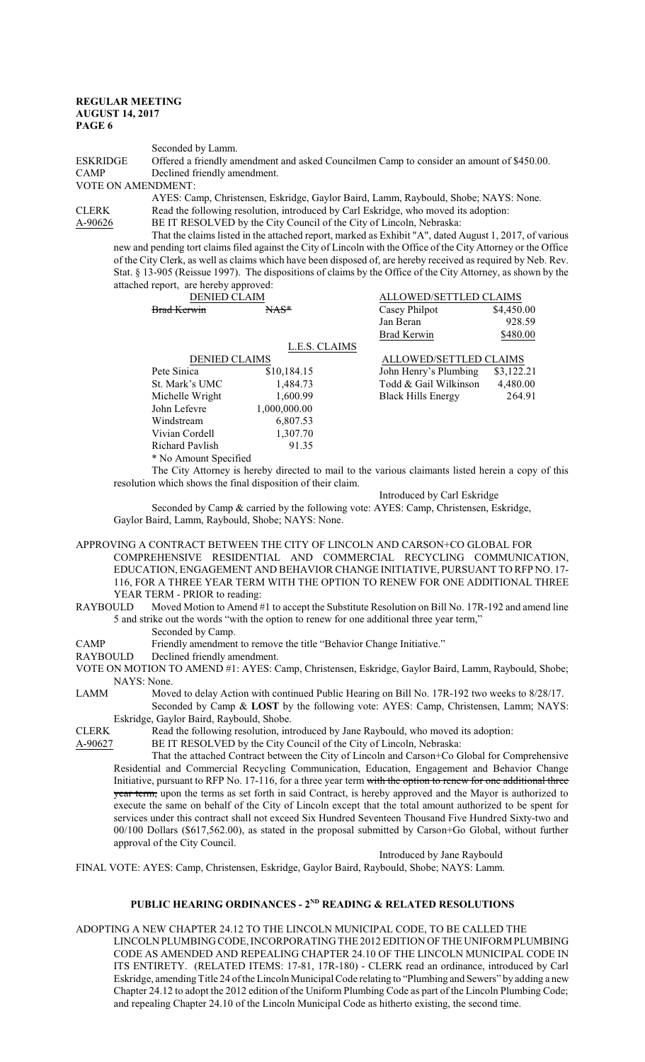Seconded by Lamm.

ESKRIDGE Offered a friendly amendment and asked Councilmen Camp to consider an amount of \$450.00.<br>CAMP Declined friendly amendment. Declined friendly amendment.

VOTE ON AMENDMENT:

AYES: Camp, Christensen, Eskridge, Gaylor Baird, Lamm, Raybould, Shobe; NAYS: None. CLERK Read the following resolution, introduced by Carl Eskridge, who moved its adoption:

A-90626 BE IT RESOLVED by the City Council of the City of Lincoln, Nebraska:

That the claims listed in the attached report, marked as Exhibit "A", dated August 1, 2017, of various new and pending tort claims filed against the City of Lincoln with the Office of the City Attorney or the Office of the City Clerk, as well as claims which have been disposed of, are hereby received as required by Neb. Rev. Stat. § 13-905 (Reissue 1997). The dispositions of claims by the Office of the City Attorney, as shown by the attached report, are hereby approved:<br>DENIED CLAIM ALLOWED/SETTLED CLAIMS

| <del>Brad Kerwin</del> | $MAS$         | Casey Philpot             | \$4,450.00             |  |
|------------------------|---------------|---------------------------|------------------------|--|
|                        |               | Jan Beran                 | 928.59                 |  |
|                        |               | <b>Brad Kerwin</b>        | \$480.00               |  |
|                        | L.E.S. CLAIMS |                           |                        |  |
| <b>DENIED CLAIMS</b>   |               |                           | ALLOWED/SETTLED CLAIMS |  |
| Pete Sinica            | \$10,184.15   | John Henry's Plumbing     | \$3,122.21             |  |
| St. Mark's UMC         | 1,484.73      | Todd & Gail Wilkinson     | 4,480.00               |  |
| Michelle Wright        | 1,600.99      | <b>Black Hills Energy</b> | 264.91                 |  |
| John Lefevre           | 1,000,000.00  |                           |                        |  |
| Windstream             | 6,807.53      |                           |                        |  |
| Vivian Cordell         | 1,307.70      |                           |                        |  |
| <b>Richard Pavlish</b> | 91.35         |                           |                        |  |
| * No Amount Specified  |               |                           |                        |  |

The City Attorney is hereby directed to mail to the various claimants listed herein a copy of this resolution which shows the final disposition of their claim.

Introduced by Carl Eskridge

Seconded by Camp & carried by the following vote: AYES: Camp, Christensen, Eskridge, Gaylor Baird, Lamm, Raybould, Shobe; NAYS: None.

APPROVING A CONTRACT BETWEEN THE CITY OF LINCOLN AND CARSON+CO GLOBAL FOR COMPREHENSIVE RESIDENTIAL AND COMMERCIAL RECYCLING COMMUNICATION, EDUCATION, ENGAGEMENT AND BEHAVIOR CHANGE INITIATIVE, PURSUANT TO RFP NO. 17- 116, FOR A THREE YEAR TERM WITH THE OPTION TO RENEW FOR ONE ADDITIONAL THREE YEAR TERM - PRIOR to reading:

RAYBOULD Moved Motion to Amend #1 to accept the Substitute Resolution on Bill No. 17R-192 and amend line 5 and strike out the words "with the option to renew for one additional three year term," Seconded by Camp.

CAMP Friendly amendment to remove the title "Behavior Change Initiative."<br>RAYBOULD Declined friendly amendment.

Declined friendly amendment.

VOTE ON MOTION TO AMEND #1: AYES: Camp, Christensen, Eskridge, Gaylor Baird, Lamm, Raybould, Shobe; NAYS: None.

LAMM Moved to delay Action with continued Public Hearing on Bill No. 17R-192 two weeks to 8/28/17.

Seconded by Camp & **LOST** by the following vote: AYES: Camp, Christensen, Lamm; NAYS: Eskridge, Gaylor Baird, Raybould, Shobe.

CLERK Read the following resolution, introduced by Jane Raybould, who moved its adoption:

A-90627 BE IT RESOLVED by the City Council of the City of Lincoln, Nebraska:

That the attached Contract between the City of Lincoln and Carson+Co Global for Comprehensive Residential and Commercial Recycling Communication, Education, Engagement and Behavior Change Initiative, pursuant to RFP No. 17-116, for a three year term with the option to renew for one additional three year term, upon the terms as set forth in said Contract, is hereby approved and the Mayor is authorized to execute the same on behalf of the City of Lincoln except that the total amount authorized to be spent for services under this contract shall not exceed Six Hundred Seventeen Thousand Five Hundred Sixty-two and 00/100 Dollars (\$617,562.00), as stated in the proposal submitted by Carson+Go Global, without further approval of the City Council.

Introduced by Jane Raybould

FINAL VOTE: AYES: Camp, Christensen, Eskridge, Gaylor Baird, Raybould, Shobe; NAYS: Lamm.

# **PUBLIC HEARING ORDINANCES - 2ND READING & RELATED RESOLUTIONS**

ADOPTING A NEW CHAPTER 24.12 TO THE LINCOLN MUNICIPAL CODE, TO BE CALLED THE LINCOLNPLUMBING CODE, INCORPORATING THE 2012EDITION OF THE UNIFORMPLUMBING CODE AS AMENDED AND REPEALING CHAPTER 24.10 OF THE LINCOLN MUNICIPAL CODE IN ITS ENTIRETY. (RELATED ITEMS: 17-81, 17R-180) - CLERK read an ordinance, introduced by Carl Eskridge, amending Title 24 of the Lincoln Municipal Code relating to "Plumbing and Sewers" by adding a new Chapter 24.12 to adopt the 2012 edition of the Uniform Plumbing Code as part of the Lincoln Plumbing Code; and repealing Chapter 24.10 of the Lincoln Municipal Code as hitherto existing, the second time.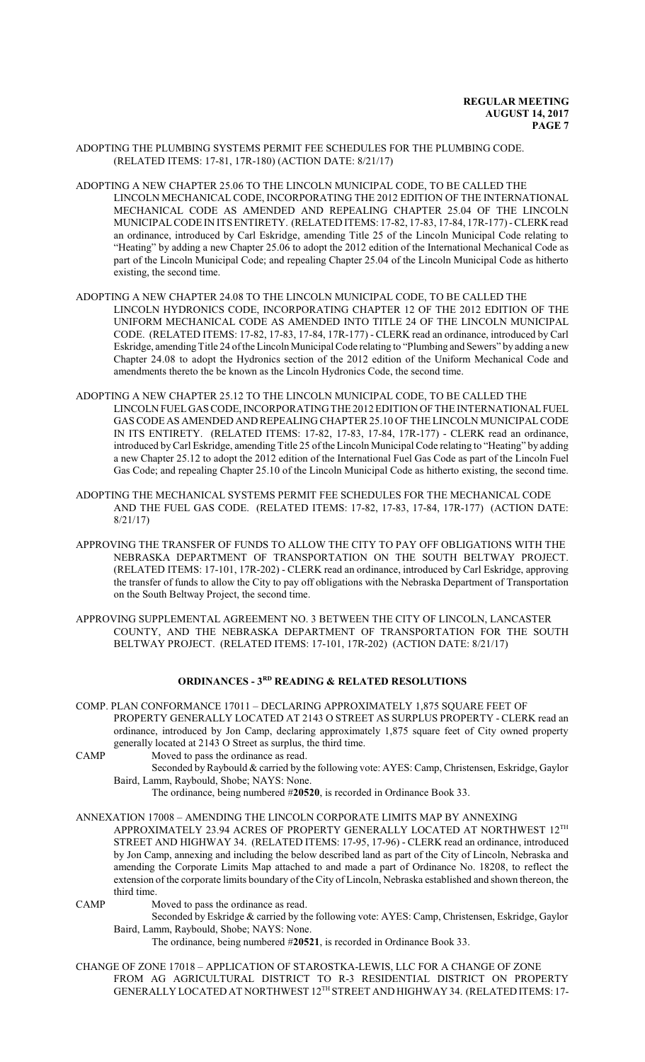- ADOPTING THE PLUMBING SYSTEMS PERMIT FEE SCHEDULES FOR THE PLUMBING CODE. (RELATED ITEMS: 17-81, 17R-180) (ACTION DATE: 8/21/17)
- ADOPTING A NEW CHAPTER 25.06 TO THE LINCOLN MUNICIPAL CODE, TO BE CALLED THE LINCOLN MECHANICAL CODE, INCORPORATING THE 2012 EDITION OF THE INTERNATIONAL MECHANICAL CODE AS AMENDED AND REPEALING CHAPTER 25.04 OF THE LINCOLN MUNICIPALCODE IN ITSENTIRETY. (RELATED ITEMS: 17-82, 17-83, 17-84, 17R-177) -CLERK read an ordinance, introduced by Carl Eskridge, amending Title 25 of the Lincoln Municipal Code relating to "Heating" by adding a new Chapter 25.06 to adopt the 2012 edition of the International Mechanical Code as part of the Lincoln Municipal Code; and repealing Chapter 25.04 of the Lincoln Municipal Code as hitherto existing, the second time.
- ADOPTING A NEW CHAPTER 24.08 TO THE LINCOLN MUNICIPAL CODE, TO BE CALLED THE LINCOLN HYDRONICS CODE, INCORPORATING CHAPTER 12 OF THE 2012 EDITION OF THE UNIFORM MECHANICAL CODE AS AMENDED INTO TITLE 24 OF THE LINCOLN MUNICIPAL CODE. (RELATED ITEMS: 17-82, 17-83, 17-84, 17R-177) - CLERK read an ordinance, introduced by Carl Eskridge, amendingTitle 24 ofthe Lincoln Municipal Code relating to "Plumbing and Sewers" by adding a new Chapter 24.08 to adopt the Hydronics section of the 2012 edition of the Uniform Mechanical Code and amendments thereto the be known as the Lincoln Hydronics Code, the second time.
- ADOPTING A NEW CHAPTER 25.12 TO THE LINCOLN MUNICIPAL CODE, TO BE CALLED THE LINCOLN FUELGAS CODE, INCORPORATING THE 2012 EDITION OF THE INTERNATIONALFUEL GAS CODE AS AMENDED AND REPEALING CHAPTER 25.10 OF THE LINCOLN MUNICIPALCODE IN ITS ENTIRETY. (RELATED ITEMS: 17-82, 17-83, 17-84, 17R-177) - CLERK read an ordinance, introduced byCarl Eskridge, amending Title 25 ofthe Lincoln Municipal Code relating to "Heating" by adding a new Chapter 25.12 to adopt the 2012 edition of the International Fuel Gas Code as part of the Lincoln Fuel Gas Code; and repealing Chapter 25.10 of the Lincoln Municipal Code as hitherto existing, the second time.
- ADOPTING THE MECHANICAL SYSTEMS PERMIT FEE SCHEDULES FOR THE MECHANICAL CODE AND THE FUEL GAS CODE. (RELATED ITEMS: 17-82, 17-83, 17-84, 17R-177) (ACTION DATE: 8/21/17)
- APPROVING THE TRANSFER OF FUNDS TO ALLOW THE CITY TO PAY OFF OBLIGATIONS WITH THE NEBRASKA DEPARTMENT OF TRANSPORTATION ON THE SOUTH BELTWAY PROJECT. (RELATED ITEMS: 17-101, 17R-202) - CLERK read an ordinance, introduced by Carl Eskridge, approving the transfer of funds to allow the City to pay off obligations with the Nebraska Department of Transportation on the South Beltway Project, the second time.
- APPROVING SUPPLEMENTAL AGREEMENT NO. 3 BETWEEN THE CITY OF LINCOLN, LANCASTER COUNTY, AND THE NEBRASKA DEPARTMENT OF TRANSPORTATION FOR THE SOUTH BELTWAY PROJECT. (RELATED ITEMS: 17-101, 17R-202) (ACTION DATE: 8/21/17)

# **ORDINANCES - 3RD READING & RELATED RESOLUTIONS**

- COMP. PLAN CONFORMANCE 17011 DECLARING APPROXIMATELY 1,875 SQUARE FEET OF PROPERTY GENERALLY LOCATED AT 2143 O STREET AS SURPLUS PROPERTY - CLERK read an ordinance, introduced by Jon Camp, declaring approximately 1,875 square feet of City owned property generally located at 2143 O Street as surplus, the third time.
- CAMP Moved to pass the ordinance as read.

Seconded by Raybould & carried by the following vote: AYES: Camp, Christensen, Eskridge, Gaylor Baird, Lamm, Raybould, Shobe; NAYS: None.

The ordinance, being numbered #**20520**, is recorded in Ordinance Book 33.

ANNEXATION 17008 – AMENDING THE LINCOLN CORPORATE LIMITS MAP BY ANNEXING APPROXIMATELY 23.94 ACRES OF PROPERTY GENERALLY LOCATED AT NORTHWEST  $12^{\text{TH}}$ STREET AND HIGHWAY 34. (RELATED ITEMS: 17-95, 17-96) - CLERK read an ordinance, introduced by Jon Camp, annexing and including the below described land as part of the City of Lincoln, Nebraska and amending the Corporate Limits Map attached to and made a part of Ordinance No. 18208, to reflect the extension of the corporate limits boundary of the City of Lincoln, Nebraska established and shown thereon, the third time.

CAMP Moved to pass the ordinance as read.

Seconded by Eskridge & carried by the following vote: AYES: Camp, Christensen, Eskridge, Gaylor Baird, Lamm, Raybould, Shobe; NAYS: None.

The ordinance, being numbered #**20521**, is recorded in Ordinance Book 33.

CHANGE OF ZONE 17018 – APPLICATION OF STAROSTKA-LEWIS, LLC FOR A CHANGE OF ZONE FROM AG AGRICULTURAL DISTRICT TO R-3 RESIDENTIAL DISTRICT ON PROPERTY GENERALLY LOCATED AT NORTHWEST 12<sup>TH</sup> STREET AND HIGHWAY 34. (RELATED ITEMS: 17-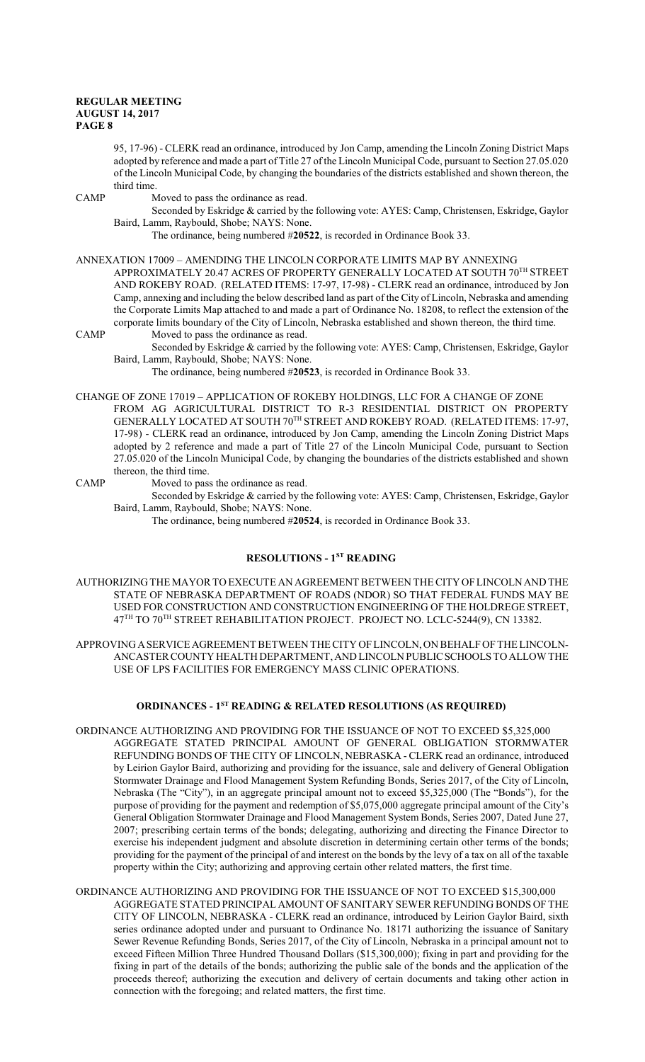95, 17-96) - CLERK read an ordinance, introduced by Jon Camp, amending the Lincoln Zoning District Maps adopted by reference and made a part of Title 27 of the Lincoln Municipal Code, pursuant to Section 27.05.020 of the Lincoln Municipal Code, by changing the boundaries of the districts established and shown thereon, the third time.

CAMP Moved to pass the ordinance as read.

Seconded by Eskridge & carried by the following vote: AYES: Camp, Christensen, Eskridge, Gaylor Baird, Lamm, Raybould, Shobe; NAYS: None.

The ordinance, being numbered #**20522**, is recorded in Ordinance Book 33.

ANNEXATION 17009 – AMENDING THE LINCOLN CORPORATE LIMITS MAP BY ANNEXING APPROXIMATELY 20.47 ACRES OF PROPERTY GENERALLY LOCATED AT SOUTH 70<sup>th</sup> STREET AND ROKEBY ROAD. (RELATED ITEMS: 17-97, 17-98) - CLERK read an ordinance, introduced by Jon Camp, annexing and including the below described land as part of the City of Lincoln, Nebraska and amending the Corporate Limits Map attached to and made a part of Ordinance No. 18208, to reflect the extension of the corporate limits boundary of the City of Lincoln, Nebraska established and shown thereon, the third time.

CAMP Moved to pass the ordinance as read.

Seconded by Eskridge & carried by the following vote: AYES: Camp, Christensen, Eskridge, Gaylor Baird, Lamm, Raybould, Shobe; NAYS: None.

The ordinance, being numbered #**20523**, is recorded in Ordinance Book 33.

CHANGE OF ZONE 17019 – APPLICATION OF ROKEBY HOLDINGS, LLC FOR A CHANGE OF ZONE FROM AG AGRICULTURAL DISTRICT TO R-3 RESIDENTIAL DISTRICT ON PROPERTY GENERALLY LOCATED AT SOUTH 70<sup>th</sup> STREET AND ROKEBY ROAD. (RELATED ITEMS: 17-97, 17-98) - CLERK read an ordinance, introduced by Jon Camp, amending the Lincoln Zoning District Maps adopted by 2 reference and made a part of Title 27 of the Lincoln Municipal Code, pursuant to Section 27.05.020 of the Lincoln Municipal Code, by changing the boundaries of the districts established and shown thereon, the third time.

CAMP Moved to pass the ordinance as read.

Seconded by Eskridge & carried by the following vote: AYES: Camp, Christensen, Eskridge, Gaylor Baird, Lamm, Raybould, Shobe; NAYS: None.

The ordinance, being numbered #**20524**, is recorded in Ordinance Book 33.

# **RESOLUTIONS - 1ST READING**

AUTHORIZING THE MAYOR TO EXECUTE AN AGREEMENT BETWEEN THE CITY OF LINCOLN AND THE STATE OF NEBRASKA DEPARTMENT OF ROADS (NDOR) SO THAT FEDERAL FUNDS MAY BE USED FOR CONSTRUCTION AND CONSTRUCTION ENGINEERING OF THE HOLDREGE STREET, 47<sup>TH</sup> TO 70<sup>TH</sup> STREET REHABILITATION PROJECT. PROJECT NO. LCLC-5244(9), CN 13382.

APPROVING ASERVICE AGREEMENT BETWEEN THE CITY OF LINCOLN, ON BEHALF OF THE LINCOLN-ANCASTER COUNTY HEALTH DEPARTMENT, AND LINCOLN PUBLICSCHOOLS TO ALLOWTHE USE OF LPS FACILITIES FOR EMERGENCY MASS CLINIC OPERATIONS.

# **ORDINANCES - 1ST READING & RELATED RESOLUTIONS (AS REQUIRED)**

ORDINANCE AUTHORIZING AND PROVIDING FOR THE ISSUANCE OF NOT TO EXCEED \$5,325,000 AGGREGATE STATED PRINCIPAL AMOUNT OF GENERAL OBLIGATION STORMWATER REFUNDING BONDS OF THE CITY OF LINCOLN, NEBRASKA - CLERK read an ordinance, introduced by Leirion Gaylor Baird, authorizing and providing for the issuance, sale and delivery of General Obligation Stormwater Drainage and Flood Management System Refunding Bonds, Series 2017, of the City of Lincoln, Nebraska (The "City"), in an aggregate principal amount not to exceed \$5,325,000 (The "Bonds"), for the purpose of providing for the payment and redemption of \$5,075,000 aggregate principal amount of the City's General Obligation Stormwater Drainage and Flood Management System Bonds, Series 2007, Dated June 27, 2007; prescribing certain terms of the bonds; delegating, authorizing and directing the Finance Director to exercise his independent judgment and absolute discretion in determining certain other terms of the bonds; providing for the payment of the principal of and interest on the bonds by the levy of a tax on all of the taxable property within the City; authorizing and approving certain other related matters, the first time.

ORDINANCE AUTHORIZING AND PROVIDING FOR THE ISSUANCE OF NOT TO EXCEED \$15,300,000 AGGREGATE STATED PRINCIPAL AMOUNT OF SANITARY SEWER REFUNDING BONDS OF THE CITY OF LINCOLN, NEBRASKA - CLERK read an ordinance, introduced by Leirion Gaylor Baird, sixth series ordinance adopted under and pursuant to Ordinance No. 18171 authorizing the issuance of Sanitary Sewer Revenue Refunding Bonds, Series 2017, of the City of Lincoln, Nebraska in a principal amount not to exceed Fifteen Million Three Hundred Thousand Dollars (\$15,300,000); fixing in part and providing for the fixing in part of the details of the bonds; authorizing the public sale of the bonds and the application of the proceeds thereof; authorizing the execution and delivery of certain documents and taking other action in connection with the foregoing; and related matters, the first time.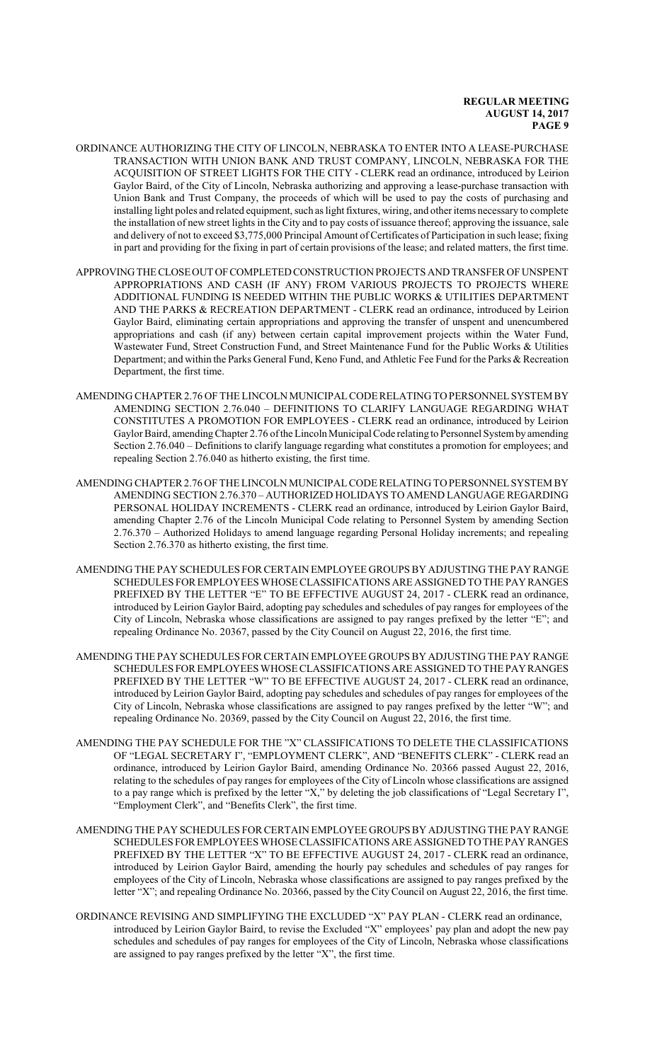- ORDINANCE AUTHORIZING THE CITY OF LINCOLN, NEBRASKA TO ENTER INTO A LEASE-PURCHASE TRANSACTION WITH UNION BANK AND TRUST COMPANY, LINCOLN, NEBRASKA FOR THE ACQUISITION OF STREET LIGHTS FOR THE CITY - CLERK read an ordinance, introduced by Leirion Gaylor Baird, of the City of Lincoln, Nebraska authorizing and approving a lease-purchase transaction with Union Bank and Trust Company, the proceeds of which will be used to pay the costs of purchasing and installing light poles and related equipment, such as light fixtures, wiring, and other items necessary to complete the installation of new street lights in the City and to pay costs of issuance thereof; approving the issuance, sale and delivery of not to exceed \$3,775,000 Principal Amount of Certificates of Participation in such lease; fixing in part and providing for the fixing in part of certain provisions of the lease; and related matters, the first time.
- APPROVINGTHECLOSEOUT OFCOMPLETEDCONSTRUCTION PROJECTS AND TRANSFER OF UNSPENT APPROPRIATIONS AND CASH (IF ANY) FROM VARIOUS PROJECTS TO PROJECTS WHERE ADDITIONAL FUNDING IS NEEDED WITHIN THE PUBLIC WORKS & UTILITIES DEPARTMENT AND THE PARKS & RECREATION DEPARTMENT - CLERK read an ordinance, introduced by Leirion Gaylor Baird, eliminating certain appropriations and approving the transfer of unspent and unencumbered appropriations and cash (if any) between certain capital improvement projects within the Water Fund, Wastewater Fund, Street Construction Fund, and Street Maintenance Fund for the Public Works & Utilities Department; and within the Parks General Fund, Keno Fund, and Athletic Fee Fund for the Parks & Recreation Department, the first time.
- AMENDING CHAPTER 2.76 OF THE LINCOLN MUNICIPALCODE RELATING TOPERSONNELSYSTEM BY AMENDING SECTION 2.76.040 – DEFINITIONS TO CLARIFY LANGUAGE REGARDING WHAT CONSTITUTES A PROMOTION FOR EMPLOYEES - CLERK read an ordinance, introduced by Leirion Gaylor Baird, amendingChapter 2.76 ofthe LincolnMunicipal Code relating to Personnel Systemby amending Section 2.76.040 – Definitions to clarify language regarding what constitutes a promotion for employees; and repealing Section 2.76.040 as hitherto existing, the first time.
- AMENDING CHAPTER 2.76 OF THE LINCOLN MUNICIPALCODE RELATING TOPERSONNELSYSTEM BY AMENDING SECTION 2.76.370 – AUTHORIZED HOLIDAYS TO AMEND LANGUAGE REGARDING PERSONAL HOLIDAY INCREMENTS - CLERK read an ordinance, introduced by Leirion Gaylor Baird, amending Chapter 2.76 of the Lincoln Municipal Code relating to Personnel System by amending Section 2.76.370 – Authorized Holidays to amend language regarding Personal Holiday increments; and repealing Section 2.76.370 as hitherto existing, the first time.
- AMENDING THE PAY SCHEDULES FOR CERTAIN EMPLOYEE GROUPS BY ADJUSTING THE PAY RANGE SCHEDULES FOR EMPLOYEES WHOSE CLASSIFICATIONS ARE ASSIGNED TOTHE PAYRANGES PREFIXED BY THE LETTER "E" TO BE EFFECTIVE AUGUST 24, 2017 - CLERK read an ordinance, introduced by Leirion Gaylor Baird, adopting pay schedules and schedules of pay ranges for employees of the City of Lincoln, Nebraska whose classifications are assigned to pay ranges prefixed by the letter "E"; and repealing Ordinance No. 20367, passed by the City Council on August 22, 2016, the first time.
- AMENDING THE PAY SCHEDULES FOR CERTAIN EMPLOYEE GROUPS BY ADJUSTING THE PAY RANGE SCHEDULES FOR EMPLOYEES WHOSE CLASSIFICATIONS ARE ASSIGNED TO THE PAYRANGES PREFIXED BY THE LETTER "W" TO BE EFFECTIVE AUGUST 24, 2017 - CLERK read an ordinance, introduced by Leirion Gaylor Baird, adopting pay schedules and schedules of pay ranges for employees of the City of Lincoln, Nebraska whose classifications are assigned to pay ranges prefixed by the letter "W"; and repealing Ordinance No. 20369, passed by the City Council on August 22, 2016, the first time.
- AMENDING THE PAY SCHEDULE FOR THE "X" CLASSIFICATIONS TO DELETE THE CLASSIFICATIONS OF "LEGAL SECRETARY I", "EMPLOYMENT CLERK", AND "BENEFITS CLERK" - CLERK read an ordinance, introduced by Leirion Gaylor Baird, amending Ordinance No. 20366 passed August 22, 2016, relating to the schedules of pay ranges for employees of the City of Lincoln whose classifications are assigned to a pay range which is prefixed by the letter "X," by deleting the job classifications of "Legal Secretary I", "Employment Clerk", and "Benefits Clerk", the first time.
- AMENDING THE PAY SCHEDULES FOR CERTAIN EMPLOYEE GROUPS BY ADJUSTING THE PAY RANGE SCHEDULES FOR EMPLOYEES WHOSE CLASSIFICATIONS ARE ASSIGNED TO THE PAY RANGES PREFIXED BY THE LETTER "X" TO BE EFFECTIVE AUGUST 24, 2017 - CLERK read an ordinance, introduced by Leirion Gaylor Baird, amending the hourly pay schedules and schedules of pay ranges for employees of the City of Lincoln, Nebraska whose classifications are assigned to pay ranges prefixed by the letter "X"; and repealing Ordinance No. 20366, passed by the City Council on August 22, 2016, the first time.
- ORDINANCE REVISING AND SIMPLIFYING THE EXCLUDED "X" PAY PLAN CLERK read an ordinance, introduced by Leirion Gaylor Baird, to revise the Excluded "X" employees' pay plan and adopt the new pay schedules and schedules of pay ranges for employees of the City of Lincoln, Nebraska whose classifications are assigned to pay ranges prefixed by the letter "X", the first time.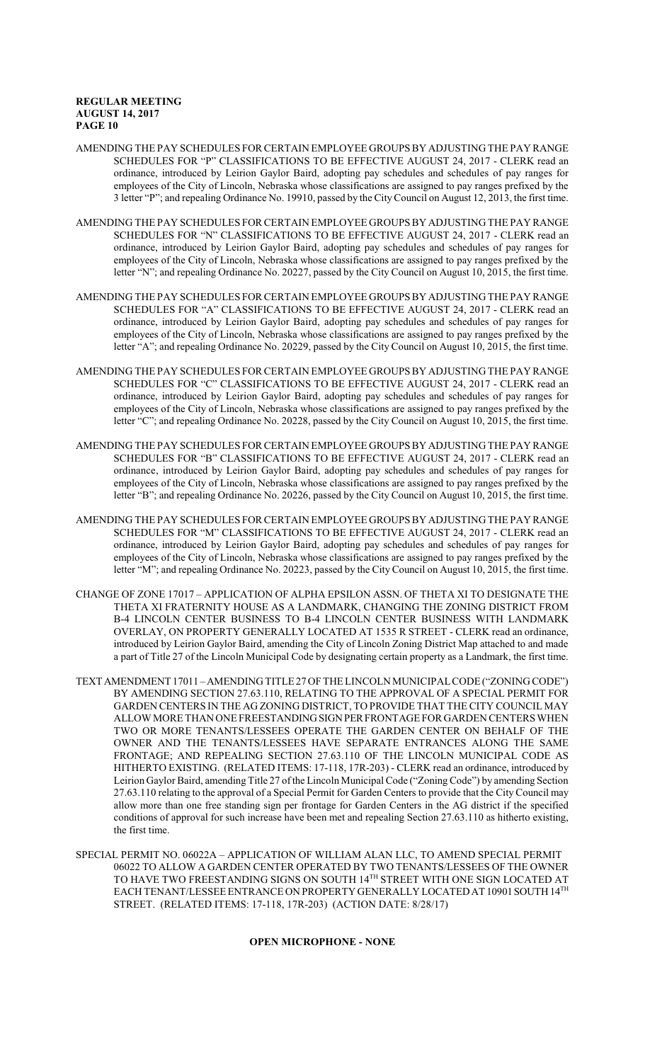- AMENDING THE PAY SCHEDULES FOR CERTAIN EMPLOYEE GROUPS BY ADJUSTING THE PAY RANGE SCHEDULES FOR "P" CLASSIFICATIONS TO BE EFFECTIVE AUGUST 24, 2017 - CLERK read an ordinance, introduced by Leirion Gaylor Baird, adopting pay schedules and schedules of pay ranges for employees of the City of Lincoln, Nebraska whose classifications are assigned to pay ranges prefixed by the 3 letter "P"; and repealing Ordinance No. 19910, passed by the CityCouncil on August 12, 2013, the first time.
- AMENDING THE PAY SCHEDULES FOR CERTAIN EMPLOYEE GROUPS BY ADJUSTING THE PAY RANGE SCHEDULES FOR "N" CLASSIFICATIONS TO BE EFFECTIVE AUGUST 24, 2017 - CLERK read an ordinance, introduced by Leirion Gaylor Baird, adopting pay schedules and schedules of pay ranges for employees of the City of Lincoln, Nebraska whose classifications are assigned to pay ranges prefixed by the letter "N"; and repealing Ordinance No. 20227, passed by the City Council on August 10, 2015, the first time.
- AMENDING THE PAY SCHEDULES FOR CERTAIN EMPLOYEE GROUPS BY ADJUSTING THE PAY RANGE SCHEDULES FOR "A" CLASSIFICATIONS TO BE EFFECTIVE AUGUST 24, 2017 - CLERK read an ordinance, introduced by Leirion Gaylor Baird, adopting pay schedules and schedules of pay ranges for employees of the City of Lincoln, Nebraska whose classifications are assigned to pay ranges prefixed by the letter "A"; and repealing Ordinance No. 20229, passed by the City Council on August 10, 2015, the first time.
- AMENDING THE PAY SCHEDULES FOR CERTAIN EMPLOYEE GROUPS BY ADJUSTING THE PAY RANGE SCHEDULES FOR "C" CLASSIFICATIONS TO BE EFFECTIVE AUGUST 24, 2017 - CLERK read an ordinance, introduced by Leirion Gaylor Baird, adopting pay schedules and schedules of pay ranges for employees of the City of Lincoln, Nebraska whose classifications are assigned to pay ranges prefixed by the letter "C"; and repealing Ordinance No. 20228, passed by the City Council on August 10, 2015, the first time.
- AMENDING THE PAY SCHEDULES FOR CERTAIN EMPLOYEE GROUPS BY ADJUSTING THE PAY RANGE SCHEDULES FOR "B" CLASSIFICATIONS TO BE EFFECTIVE AUGUST 24, 2017 - CLERK read an ordinance, introduced by Leirion Gaylor Baird, adopting pay schedules and schedules of pay ranges for employees of the City of Lincoln, Nebraska whose classifications are assigned to pay ranges prefixed by the letter "B"; and repealing Ordinance No. 20226, passed by the City Council on August 10, 2015, the first time.
- AMENDING THE PAY SCHEDULES FOR CERTAIN EMPLOYEE GROUPS BY ADJUSTING THE PAY RANGE SCHEDULES FOR "M" CLASSIFICATIONS TO BE EFFECTIVE AUGUST 24, 2017 - CLERK read an ordinance, introduced by Leirion Gaylor Baird, adopting pay schedules and schedules of pay ranges for employees of the City of Lincoln, Nebraska whose classifications are assigned to pay ranges prefixed by the letter "M"; and repealing Ordinance No. 20223, passed by the City Council on August 10, 2015, the first time.
- CHANGE OF ZONE 17017 APPLICATION OF ALPHA EPSILON ASSN. OF THETA XI TO DESIGNATE THE THETA XI FRATERNITY HOUSE AS A LANDMARK, CHANGING THE ZONING DISTRICT FROM B-4 LINCOLN CENTER BUSINESS TO B-4 LINCOLN CENTER BUSINESS WITH LANDMARK OVERLAY, ON PROPERTY GENERALLY LOCATED AT 1535 R STREET - CLERK read an ordinance, introduced by Leirion Gaylor Baird, amending the City of Lincoln Zoning District Map attached to and made a part of Title 27 of the Lincoln Municipal Code by designating certain property as a Landmark, the first time.
- TEXT AMENDMENT 17011 –AMENDING TITLE 27 OF THE LINCOLN MUNICIPALCODE ("ZONING CODE") BY AMENDING SECTION 27.63.110, RELATING TO THE APPROVAL OF A SPECIAL PERMIT FOR GARDEN CENTERS IN THE AG ZONING DISTRICT, TO PROVIDE THAT THE CITY COUNCIL MAY ALLOW MORE THAN ONE FREESTANDING SIGN PER FRONTAGE FOR GARDEN CENTERS WHEN TWO OR MORE TENANTS/LESSEES OPERATE THE GARDEN CENTER ON BEHALF OF THE OWNER AND THE TENANTS/LESSEES HAVE SEPARATE ENTRANCES ALONG THE SAME FRONTAGE; AND REPEALING SECTION 27.63.110 OF THE LINCOLN MUNICIPAL CODE AS HITHERTO EXISTING. (RELATED ITEMS: 17-118, 17R-203) - CLERK read an ordinance, introduced by Leirion Gaylor Baird, amending Title 27 of the Lincoln Municipal Code ("Zoning Code") by amending Section 27.63.110 relating to the approval of a Special Permit for Garden Centers to provide that the City Council may allow more than one free standing sign per frontage for Garden Centers in the AG district if the specified conditions of approval for such increase have been met and repealing Section 27.63.110 as hitherto existing, the first time.
- SPECIAL PERMIT NO. 06022A APPLICATION OF WILLIAM ALAN LLC, TO AMEND SPECIAL PERMIT 06022 TO ALLOW A GARDEN CENTER OPERATED BY TWO TENANTS/LESSEES OF THE OWNER TO HAVE TWO FREESTANDING SIGNS ON SOUTH 14TH STREET WITH ONE SIGN LOCATED AT EACH TENANT/LESSEE ENTRANCE ON PROPERTY GENERALLY LOCATED AT 10901 SOUTH 14TH STREET. (RELATED ITEMS: 17-118, 17R-203) (ACTION DATE: 8/28/17)

### **OPEN MICROPHONE - NONE**